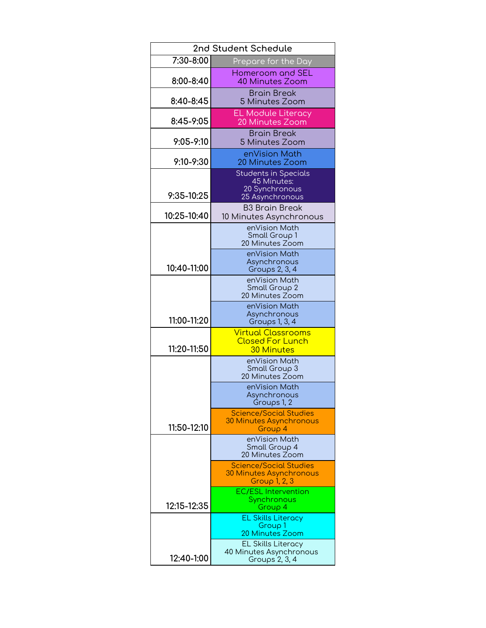| 2nd Student Schedule |                                                                                    |
|----------------------|------------------------------------------------------------------------------------|
| 7:30-8:00            | Prepare for the Day                                                                |
| 8:00-8:40            | Homeroom and SEL<br>40 Minutes Zoom                                                |
| 8:40-8:45            | <b>Brain Break</b><br>5 Minutes Zoom                                               |
| 8:45-9:05            | <b>EL Module Literacy</b><br>20 Minutes Zoom                                       |
| $9:05 - 9:10$        | <b>Brain Break</b><br>5 Minutes Zoom                                               |
| 9:10-9:30            | enVision Math<br>20 Minutes Zoom                                                   |
| 9:35-10:25           | <b>Students in Specials</b><br>45 Minutes:<br>20 Synchronous<br>25 Asynchronous    |
| 10:25-10:40          | <b>B3 Brain Break</b><br>10 Minutes Asynchronous                                   |
|                      | enVision Math<br>Small Group 1<br>20 Minutes Zoom                                  |
| 10:40-11:00          | enVision Math<br>Asynchronous<br>Groups 2, 3, 4                                    |
|                      | enVision Math<br>Small Group 2<br>20 Minutes Zoom                                  |
| 11:00-11:20          | enVision Math<br>Asynchronous<br>Groups 1, 3, 4                                    |
| 11:20-11:50          | <b>Virtual Classrooms</b><br><b>Closed For Lunch</b><br><b>30 Minutes</b>          |
|                      | enVision Math<br>Small Group 3<br>20 Minutes Zoom                                  |
|                      | enVision Math<br>Asvnchronous<br>Groups 1, 2                                       |
| 11:50-12:10          | <b>Science/Social Studies</b><br><b>30 Minutes Asynchronous</b><br>Group 4         |
|                      | enVision Math<br>Small Group 4<br>20 Minutes Zoom                                  |
|                      | <b>Science/Social Studies</b><br><b>30 Minutes Asynchronous</b><br>Group $1, 2, 3$ |
| 12:15-12:35          | <b>EC/ESL Intervention</b><br>Synchronous<br>Group 4                               |
|                      | <b>EL Skills Literacy</b><br>Group <sub>1</sub><br>20 Minutes Zoom                 |
| 12:40-1:00           | <b>EL Skills Literacy</b><br>40 Minutes Asynchronous<br>Groups 2, 3, 4             |